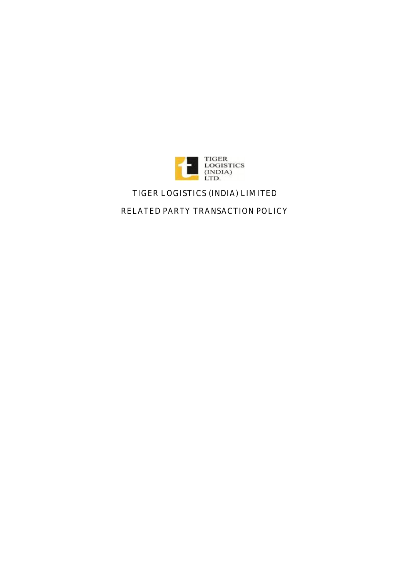

# **TIGER LOGISTICS (INDIA) LIMITED**

**RELATED PARTY TRANSACTION POLICY**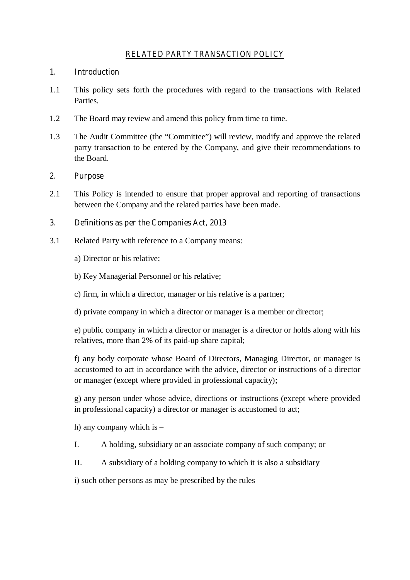# *RELATED PARTY TRANSACTION POLICY*

## **1. Introduction**

- 1.1 This policy sets forth the procedures with regard to the transactions with Related Parties.
- 1.2 The Board may review and amend this policy from time to time.
- 1.3 The Audit Committee (the "Committee") will review, modify and approve the related party transaction to be entered by the Company, and give their recommendations to the Board.

#### **2. Purpose**

2.1 This Policy is intended to ensure that proper approval and reporting of transactions between the Company and the related parties have been made.

## **3. Definitions as per the Companies Act, 2013**

- 3.1 Related Party with reference to a Company means:
	- a) Director or his relative;
	- b) Key Managerial Personnel or his relative;
	- c) firm, in which a director, manager or his relative is a partner;
	- d) private company in which a director or manager is a member or director;

e) public company in which a director or manager is a director or holds along with his relatives, more than 2% of its paid-up share capital;

f) any body corporate whose Board of Directors, Managing Director, or manager is accustomed to act in accordance with the advice, director or instructions of a director or manager (except where provided in professional capacity);

g) any person under whose advice, directions or instructions (except where provided in professional capacity) a director or manager is accustomed to act;

h) any company which is –

- I. A holding, subsidiary or an associate company of such company; or
- II. A subsidiary of a holding company to which it is also a subsidiary

i) such other persons as may be prescribed by the rules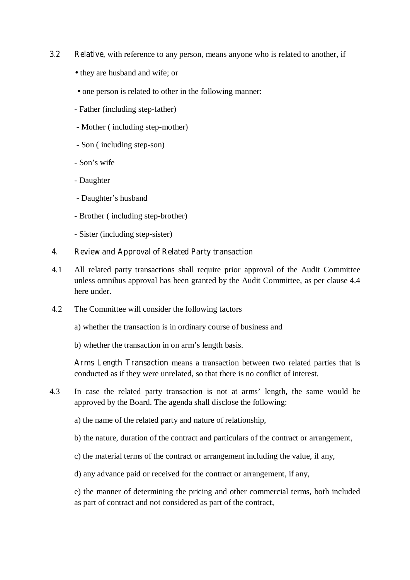- **3.2 Relative**, with reference to any person, means anyone who is related to another, if
	- they are husband and wife; or
	- one person is related to other in the following manner:
	- Father (including step-father)
	- Mother ( including step-mother)
	- Son ( including step-son)
	- Son's wife
	- Daughter
	- Daughter's husband
	- Brother ( including step-brother)
	- Sister (including step-sister)

#### **4. Review and Approval of Related Party transaction**

- 4.1 All related party transactions shall require prior approval of the Audit Committee unless omnibus approval has been granted by the Audit Committee, as per clause 4.4 here under.
- 4.2 The Committee will consider the following factors
	- a) whether the transaction is in ordinary course of business and
	- b) whether the transaction in on arm's length basis.

**Arms Length Transaction** means a transaction between two related parties that is conducted as if they were unrelated, so that there is no conflict of interest.

- 4.3 In case the related party transaction is not at arms' length, the same would be approved by the Board. The agenda shall disclose the following:
	- a) the name of the related party and nature of relationship,
	- b) the nature, duration of the contract and particulars of the contract or arrangement,
	- c) the material terms of the contract or arrangement including the value, if any,
	- d) any advance paid or received for the contract or arrangement, if any,

e) the manner of determining the pricing and other commercial terms, both included as part of contract and not considered as part of the contract,